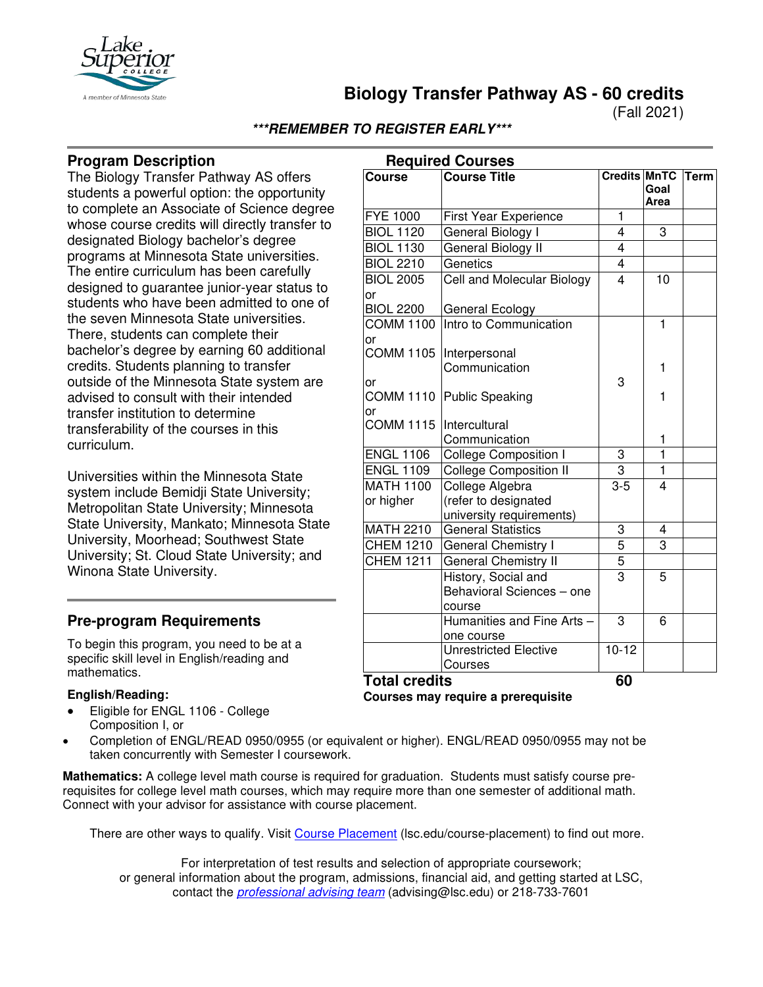

**Biology Transfer Pathway AS - 60 credits**

(Fall 2021)

# **\*\*\*REMEMBER TO REGISTER EARLY\*\*\***

# **Program Description**

The Biology Transfer Pathway AS offers students a powerful option: the opportunity to complete an Associate of Science degree whose course credits will directly transfer to designated Biology bachelor's degree programs at Minnesota State universities. The entire curriculum has been carefully designed to guarantee junior-year status to students who have been admitted to one of the seven Minnesota State universities. There, students can complete their bachelor's degree by earning 60 additional credits. Students planning to transfer outside of the Minnesota State system are advised to consult with their intended transfer institution to determine transferability of the courses in this curriculum.

Universities within the Minnesota State system include Bemidji State University; Metropolitan State University; Minnesota State University, Mankato; Minnesota State University, Moorhead; Southwest State University; St. Cloud State University; and Winona State University.

#### **Pre-program Requirements**

To begin this program, you need to be at a specific skill level in English/reading and mathematics.

#### **English/Reading:**

• Eligible for ENGL 1106 - College Composition I, or

| <b>Required Courses</b>       |                                                                     |                |                         |             |  |
|-------------------------------|---------------------------------------------------------------------|----------------|-------------------------|-------------|--|
| Course                        | <b>Course Title</b>                                                 | Credits MnTC   | Goal<br>Area            | <b>Term</b> |  |
| <b>FYE 1000</b>               | First Year Experience                                               | $\mathbf{1}$   |                         |             |  |
| <b>BIOL 1120</b>              | General Biology I                                                   | 4              | 3                       |             |  |
| <b>BIOL 1130</b>              | General Biology II                                                  | 4              |                         |             |  |
| <b>BIOL 2210</b>              | Genetics                                                            | $\overline{4}$ |                         |             |  |
| <b>BIOL 2005</b><br>or        | <b>Cell and Molecular Biology</b>                                   | 4              | 10                      |             |  |
| <b>BIOL 2200</b>              | General Ecology                                                     |                |                         |             |  |
| <b>COMM 1100</b><br>or        | Intro to Communication                                              |                | $\mathbf{1}$            |             |  |
| <b>COMM 1105</b>              | Interpersonal<br>Communication                                      |                | 1                       |             |  |
| or<br>COMM 1110<br>or         | <b>Public Speaking</b>                                              | 3              | 1                       |             |  |
| <b>COMM 1115</b>              | Intercultural<br>Communication                                      |                | 1                       |             |  |
| <b>ENGL 1106</b>              | <b>College Composition I</b>                                        | 3              | $\overline{1}$          |             |  |
| <b>ENGL 1109</b>              | <b>College Composition II</b>                                       | $\overline{3}$ | $\overline{1}$          |             |  |
| <b>MATH 1100</b><br>or higher | College Algebra<br>(refer to designated<br>university requirements) | $3-5$          | $\overline{\mathbf{4}}$ |             |  |
| <b>MATH 2210</b>              | <b>General Statistics</b>                                           | 3              | 4                       |             |  |
| <b>CHEM 1210</b>              | <b>General Chemistry I</b>                                          | 5              | 3                       |             |  |
| <b>CHEM 1211</b>              | <b>General Chemistry II</b>                                         | 5              |                         |             |  |
|                               | History, Social and<br>Behavioral Sciences - one<br>course          | $\overline{3}$ | 5                       |             |  |
|                               | Humanities and Fine Arts -<br>one course                            | 3              | 6                       |             |  |
|                               | <b>Unrestricted Elective</b><br>Courses                             | $10-12$        |                         |             |  |
| <b>Total credits</b>          |                                                                     | 60             |                         |             |  |

**Courses may require a prerequisite**

• Completion of ENGL/READ 0950/0955 (or equivalent or higher). ENGL/READ 0950/0955 may not be taken concurrently with Semester I coursework.

**Mathematics:** A college level math course is required for graduation. Students must satisfy course prerequisites for college level math courses, which may require more than one semester of additional math. Connect with your advisor for assistance with course placement.

There are other ways to qualify. Visit [Course Placement](https://www.lsc.edu/course-placement/) (Isc.edu/course-placement) to find out more.

For interpretation of test results and selection of appropriate coursework; or general information about the program, admissions, financial aid, and getting started at LSC, contact the *[professional advising team](mailto:advising@lsc.edu)* (advising@lsc.edu) or 218-733-7601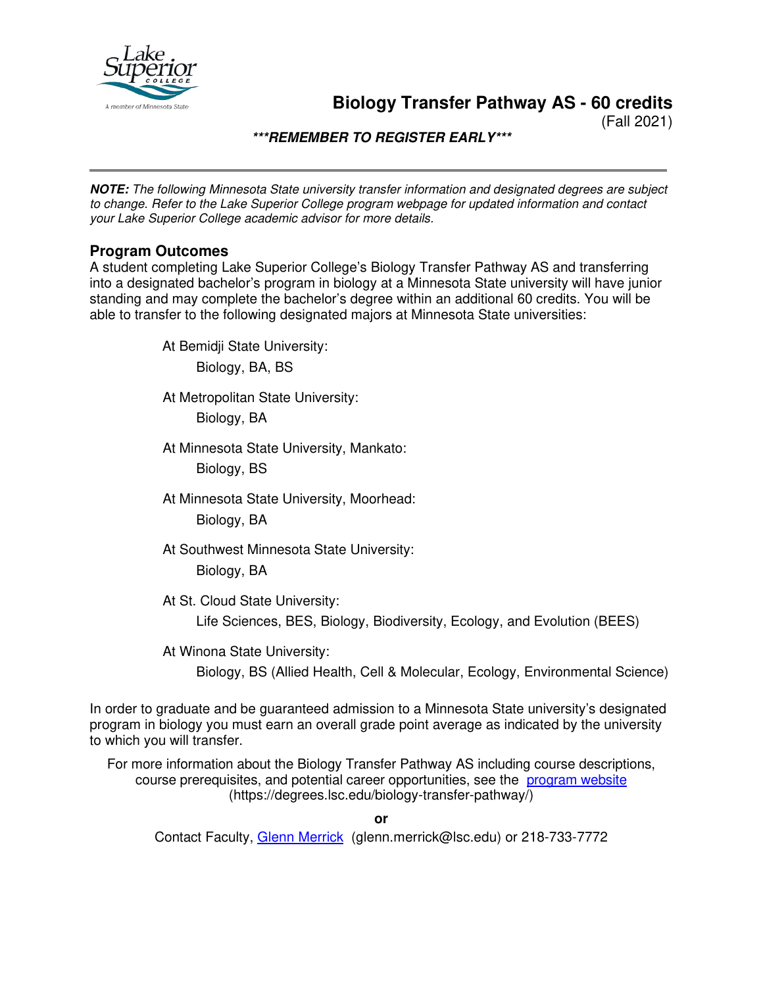

**Biology Transfer Pathway AS - 60 credits**

(Fall 2021)

**\*\*\*REMEMBER TO REGISTER EARLY\*\*\***

**NOTE:** *The following Minnesota State university transfer information and designated degrees are subject to change. Refer to the Lake Superior College program webpage for updated information and contact your Lake Superior College academic advisor for more details.*

### **Program Outcomes**

A student completing Lake Superior College's Biology Transfer Pathway AS and transferring into a designated bachelor's program in biology at a Minnesota State university will have junior standing and may complete the bachelor's degree within an additional 60 credits. You will be able to transfer to the following designated majors at Minnesota State universities:

> At Bemidji State University: Biology, BA, BS

At Metropolitan State University: Biology, BA

At Minnesota State University, Mankato: Biology, BS

At Minnesota State University, Moorhead: Biology, BA

At Southwest Minnesota State University: Biology, BA

At St. Cloud State University: Life Sciences, BES, Biology, Biodiversity, Ecology, and Evolution (BEES)

At Winona State University: Biology, BS (Allied Health, Cell & Molecular, Ecology, Environmental Science)

In order to graduate and be guaranteed admission to a Minnesota State university's designated program in biology you must earn an overall grade point average as indicated by the university to which you will transfer.

For more information about the Biology Transfer Pathway AS including course descriptions, course prerequisites, and potential career opportunities, see the [program website](https://degrees.lsc.edu/biology-transfer-pathway/) (https://degrees.lsc.edu/biology-transfer-pathway/)

**or**

Contact Faculty, [Glenn Merrick](mailto:glenn.merrick@lsc.edu) (glenn.merrick@lsc.edu) or 218-733-7772